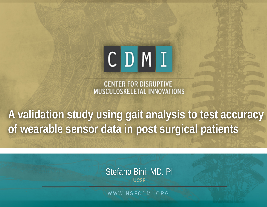# $CD$  $M$  $I$

**CENTER FOR DISRUPTIVE** MUSCULOSKELETAL INNOVATIONS

**A validation study using gait analysis to test accuracy of wearable sensor data in post surgical patients**

> Stefano Bini, MD. PI **UCSF**

WWW.NSFCDMI.ORG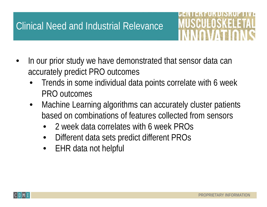## Clinical Need and Industrial Relevance

- MUSCHUELSKEE:
- In our prior study we have demonstrated that sensor data can accurately predict PRO outcomes
	- Trends in some individual data points correlate with 6 week PRO outcomes
	- Machine Learning algorithms can accurately cluster patients based on combinations of features collected from sensors
		- 2 week data correlates with 6 week PROs
		- Different data sets predict different PROs
		- EHR data not helpful

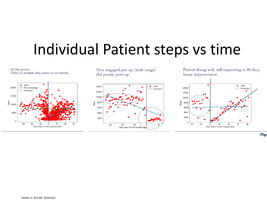## Individual Patient steps vs time



UC<sub>SF</sub>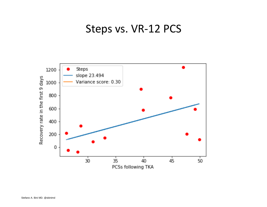### Steps vs. VR-12 PCS

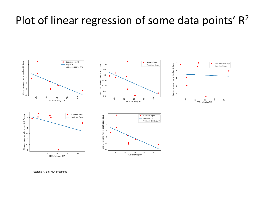## Plot of linear regression of some data points'  $R^2$



Stefano A. Bini MD. @sbinimd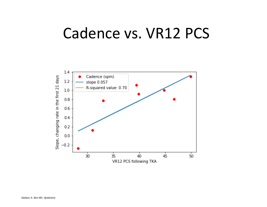## Cadence vs. VR12 PCS

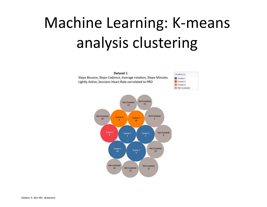## Machine Learning: K-means analysis clustering

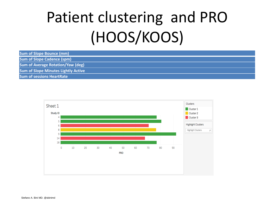## Patient clustering and PRO (HOOS/KOOS)

| <b>Sum of Slope Bounce (mm)</b>            |  |
|--------------------------------------------|--|
| <b>Sum of Slope Cadence (spm)</b>          |  |
| <b>Sum of Average Rotation/Yaw (deg)</b>   |  |
| <b>Sum of Slope Minutes Lightly Active</b> |  |
| <b>Sum of sessions HeartRate</b>           |  |

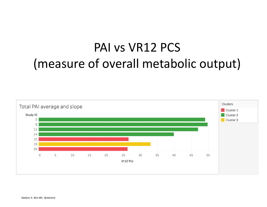## PAI vs VR12 PCS (measure of overall metabolic output)

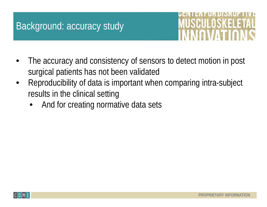### Background: accuracy study



- The accuracy and consistency of sensors to detect motion in post surgical patients has not been validated
- Reproducibility of data is important when comparing intra-subject results in the clinical setting
	- And for creating normative data sets

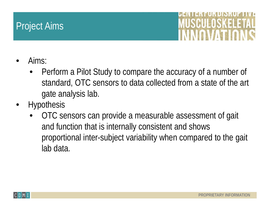### Project Aims



- Aims:
	- Perform a Pilot Study to compare the accuracy of a number of standard, OTC sensors to data collected from a state of the art gate analysis lab.
- **Hypothesis** 
	- OTC sensors can provide a measurable assessment of gait and function that is internally consistent and shows proportional inter-subject variability when compared to the gait lab data.

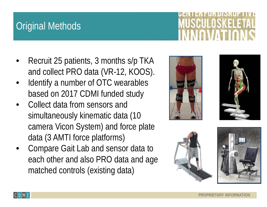## Original Methods

- Recruit 25 patients, 3 months s/p TKA and collect PRO data (VR-12, KOOS).
- Identify a number of OTC wearables based on 2017 CDMI funded study
- Collect data from sensors and simultaneously kinematic data (10 camera Vicon System) and force plate data (3 AMTI force platforms)
- Compare Gait Lab and sensor data to each other and also PRO data and age matched controls (existing data)





**LISKEE** 





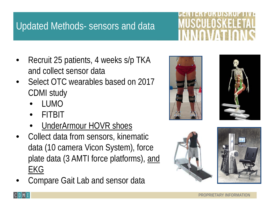## Updated Methods- sensors and data

- Recruit 25 patients, 4 weeks s/p TKA and collect sensor data
- Select OTC wearables based on 2017 CDMI study
	- LUMO
	- FITBIT
	- UnderArmour HOVR shoes
- Collect data from sensors, kinematic data (10 camera Vicon System), force plate data (3 AMTI force platforms), and EKG
- Compare Gait Lab and sensor data











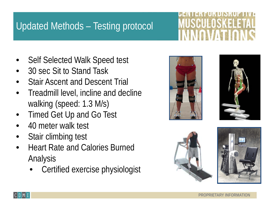## Updated Methods – Testing protocol

USINIEISKEES

- Self Selected Walk Speed test
- 30 sec Sit to Stand Task
- Stair Ascent and Descent Trial
- Treadmill level, incline and decline walking (speed: 1.3 M/s)
- Timed Get Up and Go Test
- 40 meter walk test
- Stair climbing test
- Heart Rate and Calories Burned Analysis
	- Certified exercise physiologist







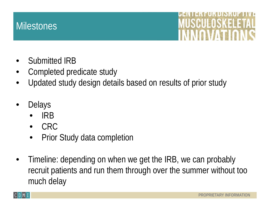#### **Milestones**



- Submitted IRB
- Completed predicate study
- Updated study design details based on results of prior study
- **Delays** 
	- IRB
	- CRC
	- Prior Study data completion
- Timeline: depending on when we get the IRB, we can probably recruit patients and run them through over the summer without too much delay